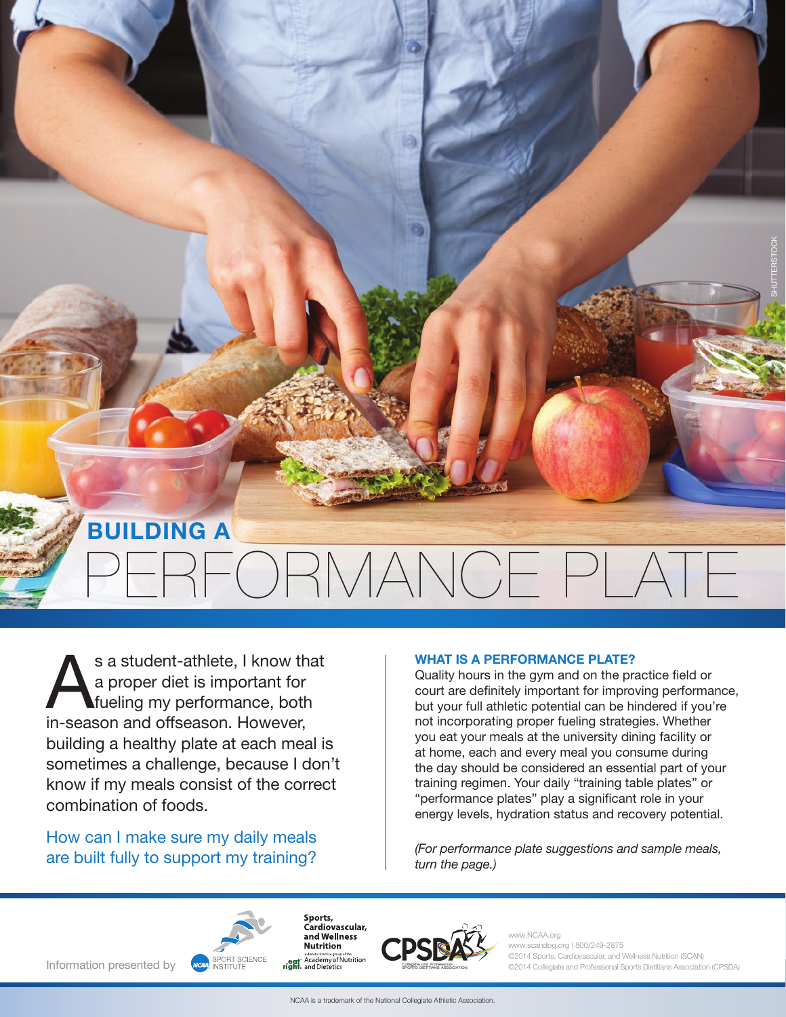### BUILDING A

# PERFORMANCE PLATE

s a student-athlete, I know that<br>a proper diet is important for<br>fueling my performance, both a proper diet is important for fueling my performance, both in-season and offseason. However, building a healthy plate at each meal is sometimes a challenge, because I don't know if my meals consist of the correct combination of foods.

How can I make sure my daily meals are built fully to support my training?

#### WHAT IS A PERFORMANCE PLATE?

Quality hours in the gym and on the practice field or court are definitely important for improving performance, but your full athletic potential can be hindered if you're not incorporating proper fueling strategies. Whether you eat your meals at the university dining facility or at home, each and every meal you consume during the day should be considered an essential part of your training regimen. Your daily "training table plates" or "performance plates" play a significant role in your energy levels, hydration status and recovery potential.

*(For performance plate suggestions and sample meals, turn the page.)*



Sports, Cardiovascular, and Wellness **Nutrition** adiete tic practice group of the<br>**eqt** Academy of Nutrition<br>**right.** and Dietetics



.NCAA.org www.scandpg.org | 800/249-2875 ©2014 Sports, Cardiovascular, and Wellness Nutrition (SCAN) ©2014 Collegiate and Professional Sports Dietitians Association (CPSDA) SHUTTERSTOCK

Information presented by